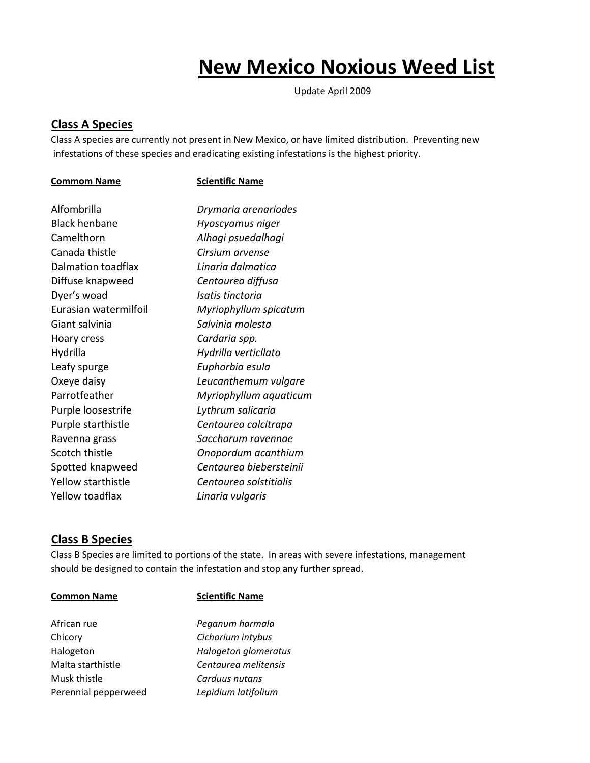# **New Mexico Noxious Weed List**

Update April 2009

## **Class A Species**

Class A species are currently not present in New Mexico, or have limited distribution. Preventing new infestations of these species and eradicating existing infestations is the highest priority.

### **Commom Name Scientific Name**

| Alfombrilla           | Drymaria arenariodes    |
|-----------------------|-------------------------|
| <b>Black henbane</b>  | Hyoscyamus niger        |
| Camelthorn            | Alhagi psuedalhagi      |
| Canada thistle        | Cirsium arvense         |
| Dalmation toadflax    | Linaria dalmatica       |
| Diffuse knapweed      | Centaurea diffusa       |
| Dyer's woad           | Isatis tinctoria        |
| Furasian watermilfoil | Myriophyllum spicatum   |
| Giant salvinia        | Salvinia molesta        |
| Hoary cress           | Cardaria spp.           |
| Hydrilla              | Hydrilla verticllata    |
| Leafy spurge          | Euphorbia esula         |
| Oxeye daisy           | Leucanthemum vulgare    |
| Parrotfeather         | Myriophyllum aquaticum  |
| Purple loosestrife    | Lythrum salicaria       |
| Purple starthistle    | Centaurea calcitrapa    |
| Ravenna grass         | Saccharum ravennae      |
| Scotch thistle        | Onopordum acanthium     |
| Spotted knapweed      | Centaurea biebersteinii |
| Yellow starthistle    | Centaurea solstitialis  |
| Yellow toadflax       | Linaria vulgaris        |
|                       |                         |

### **Class B Species**

Class B Species are limited to portions of the state. In areas with severe infestations, management should be designed to contain the infestation and stop any further spread.

| <b>Common Name</b>   | <b>Scientific Name</b> |
|----------------------|------------------------|
| African rue          | Peganum harmala        |
| Chicory              | Cichorium intybus      |
| Halogeton            | Halogeton glomeratus   |
| Malta starthistle    | Centaurea melitensis   |
| Musk thistle         | Carduus nutans         |
| Perennial pepperweed | Lepidium latifolium    |